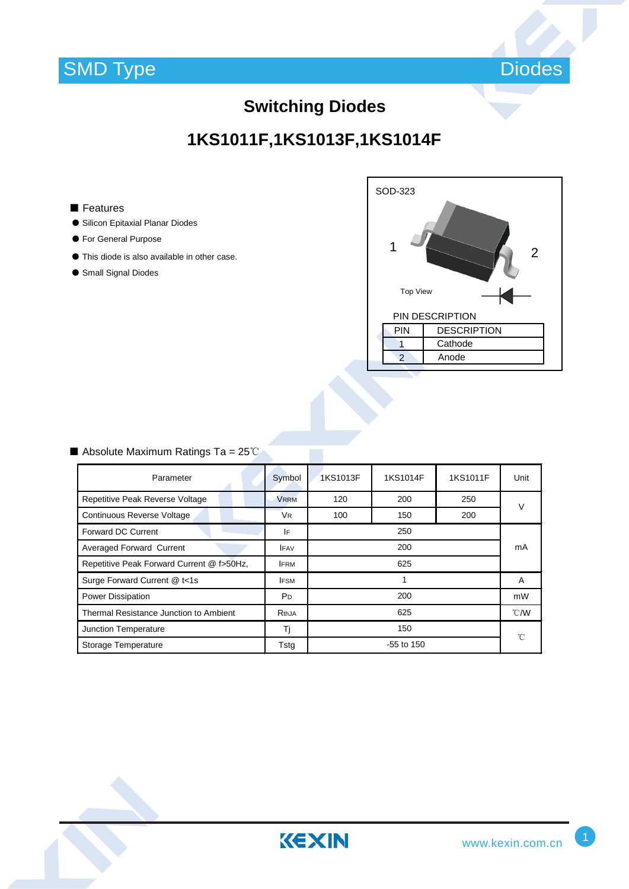

# **1KS1011F,1KS1013F,1KS1014F**

#### ■ Features

- ƽ Silicon Epitaxial Planar Diodes
- ƽ For General Purpose
- ƽ This diode is also available in other case.
- Small Signal Diodes



### Absolute Maximum Ratings Ta =  $25^{\circ}$

| Parameter                                 | Symbol         | 1KS1013F          | 1KS1014F | 1KS1011F | Unit          |
|-------------------------------------------|----------------|-------------------|----------|----------|---------------|
| Repetitive Peak Reverse Voltage           | <b>VRRM</b>    | 120<br>200<br>250 |          |          | $\vee$        |
| Continuous Reverse Voltage                | <b>VR</b>      | 100               | 150      | 200      |               |
| Forward DC Current                        | IF             | 250               |          |          | mA            |
| Averaged Forward Current                  | <b>IFAV</b>    | 200               |          |          |               |
| Repetitive Peak Forward Current @ f>50Hz, | <b>IFRM</b>    | 625               |          |          |               |
| Surge Forward Current @ t<1s              | <b>IFSM</b>    | 1                 |          |          | A             |
| <b>Power Dissipation</b>                  | P <sub>D</sub> | 200               |          |          | mW            |
| Thermal Resistance Junction to Ambient    | RthJA          | 625               |          |          | $\degree$ C/W |
| Junction Temperature                      | Τj             | 150               |          |          | °C            |
| Storage Temperature                       | Tstg           | $-55$ to 150      |          |          |               |

KEXIN



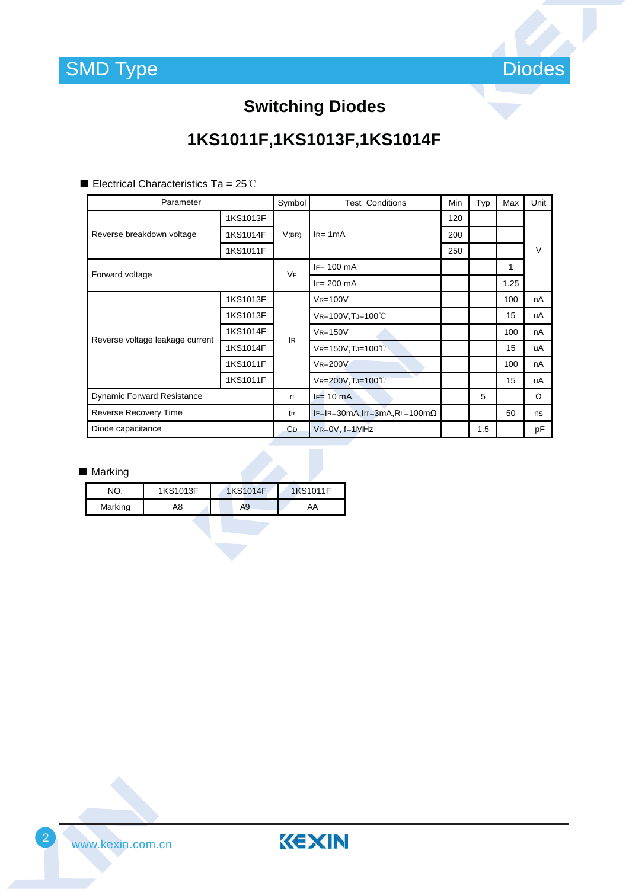

# **1KS1011F,1KS1013F,1KS1014F**

Electrical Characteristics Ta =  $25^{\circ}$ C

| Parameter                         |          | Symbol    | <b>Test Conditions</b>               | Min | Typ | Max  | Unit   |
|-----------------------------------|----------|-----------|--------------------------------------|-----|-----|------|--------|
| Reverse breakdown voltage         | 1KS1013F | V(BR)     | $IR= 1mA$                            | 120 |     |      |        |
|                                   | 1KS1014F |           |                                      | 200 |     |      |        |
|                                   | 1KS1011F |           |                                      | 250 |     |      | $\vee$ |
| Forward voltage                   |          | <b>VF</b> | $IF = 100$ mA                        |     |     | 1    |        |
|                                   |          |           | $IF = 200$ mA                        |     |     | 1.25 |        |
| Reverse voltage leakage current   | 1KS1013F | <b>IR</b> | $V_{R=100}V$                         |     |     | 100  | nA     |
|                                   | 1KS1013F |           | VR=100V, TJ=100°C                    |     |     | 15   | uA     |
|                                   | 1KS1014F |           | $V_{R=150V}$                         |     |     | 100  | nA     |
|                                   | 1KS1014F |           | VR=150V, TJ=100°C                    |     |     | 15   | uA     |
|                                   | 1KS1011F |           | $V_{R=200V}$                         |     |     | 100  | nA     |
|                                   | 1KS1011F |           | VR=200V, TJ=100°C                    |     |     | 15   | uA     |
| <b>Dynamic Forward Resistance</b> |          | ľf        | $F = 10$ mA                          |     | 5   |      | Ω      |
| Reverse Recovery Time             |          | trr       | $IF=IR=30mA, Irr=3mA, RL=100m\Omega$ |     |     | 50   | ns     |
| Diode capacitance                 |          | CD.       | $V_{R=0}V$ , f=1MHz                  |     | 1.5 |      | pF     |

### ■ Marking

| NΟ      | 1KS1013F | 1KS1014F | 1KS1011F |
|---------|----------|----------|----------|
| Marking | A8       | A9       | AA       |

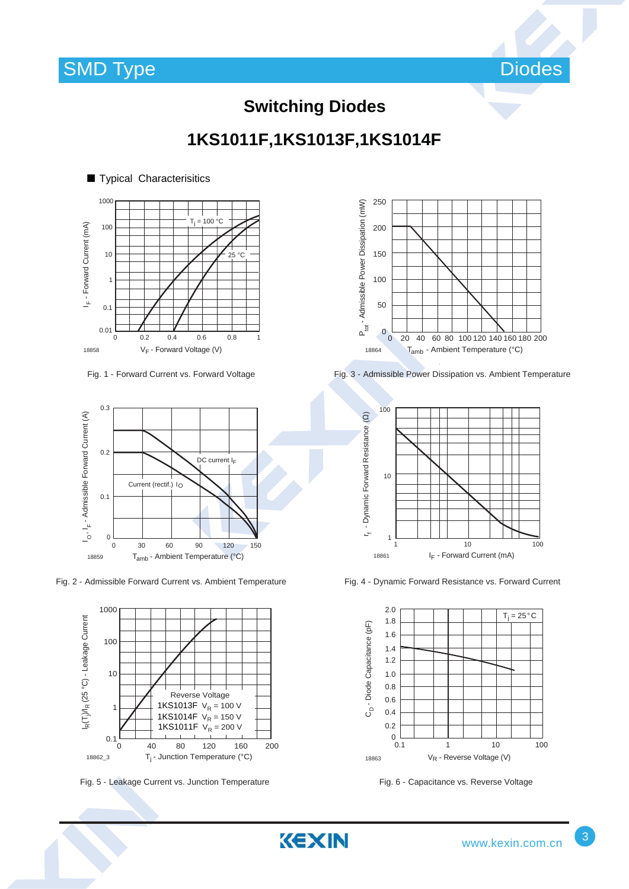

**1KS1011F,1KS1013F,1KS1014F**

KEXIN



Fig. 1 - Forward Current vs. Forward Voltage



Fig. 2 - Admissible Forward Current vs. Ambient Temperature



Fig. 5 - Leakage Current vs. Junction Temperature Fig. 6 - Capacitance vs. Reverse Voltage



Fig. 3 - Admissible Power Dissipation vs. Ambient Temperature



Fig. 4 - Dynamic Forward Resistance vs. Forward Current